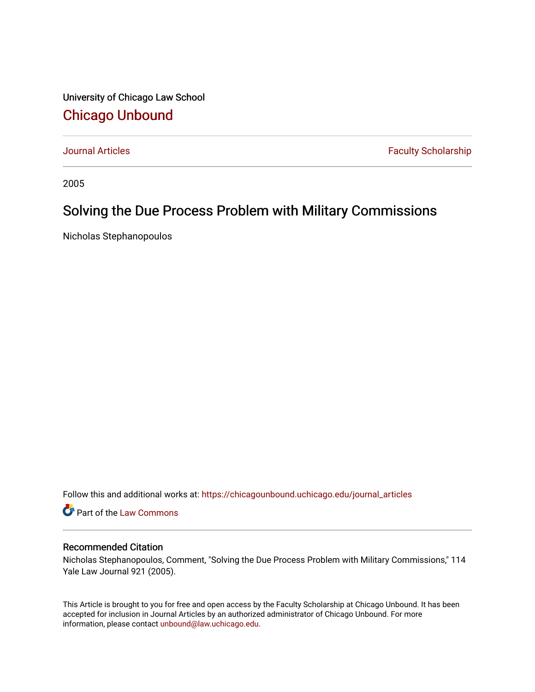University of Chicago Law School [Chicago Unbound](https://chicagounbound.uchicago.edu/)

[Journal Articles](https://chicagounbound.uchicago.edu/journal_articles) **Faculty Scholarship Faculty Scholarship** 

2005

### Solving the Due Process Problem with Military Commissions

Nicholas Stephanopoulos

Follow this and additional works at: [https://chicagounbound.uchicago.edu/journal\\_articles](https://chicagounbound.uchicago.edu/journal_articles?utm_source=chicagounbound.uchicago.edu%2Fjournal_articles%2F3765&utm_medium=PDF&utm_campaign=PDFCoverPages) 

Part of the [Law Commons](http://network.bepress.com/hgg/discipline/578?utm_source=chicagounbound.uchicago.edu%2Fjournal_articles%2F3765&utm_medium=PDF&utm_campaign=PDFCoverPages)

#### Recommended Citation

Nicholas Stephanopoulos, Comment, "Solving the Due Process Problem with Military Commissions," 114 Yale Law Journal 921 (2005).

This Article is brought to you for free and open access by the Faculty Scholarship at Chicago Unbound. It has been accepted for inclusion in Journal Articles by an authorized administrator of Chicago Unbound. For more information, please contact [unbound@law.uchicago.edu](mailto:unbound@law.uchicago.edu).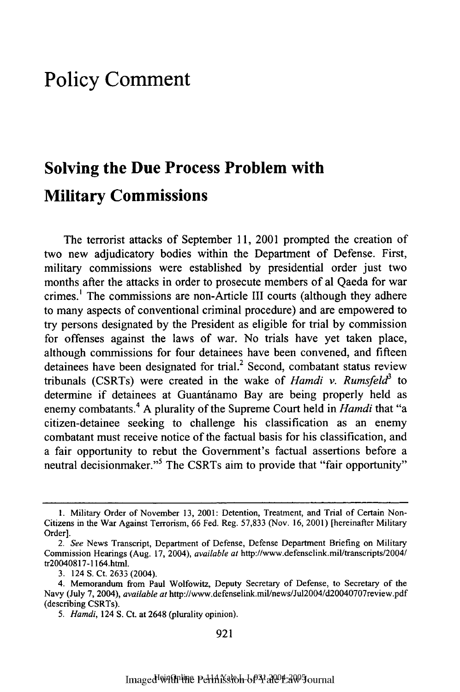## **Policy Comment**

# **Solving the Due Process Problem with Military Commissions**

The terrorist attacks of September **11,** 2001 prompted the creation of two new adjudicatory bodies within the Department of Defense. First, military commissions were established **by** presidential order just two months after the attacks in order to prosecute members of al Qaeda for war crimes.' The commissions are non-Article **III** courts (although they adhere to many aspects of conventional criminal procedure) and are empowered to try persons designated **by** the President as eligible for trial **by** commission for offenses against the laws of war. No trials have yet taken place, although commissions for four detainees have been convened, and fifteen detainees have been designated for trial.<sup>2</sup> Second, combatant status review tribunals (CSRTs) were created in the wake of *Hamdi v. Rumsfeld3* to determine if detainees at Guantánamo Bay are being properly held as enemy combatants.4 **A** plurality of the Supreme Court held in *Hamdi* that "a citizen-detainee seeking to challenge his classification as an enemy combatant must receive notice of the factual basis for his classification, and a fair opportunity to rebut the Government's factual assertions before a neutral decisionmaker."<sup>5</sup> The CSRTs aim to provide that "fair opportunity"

**<sup>1.</sup>** Military Order of November **13,** 2001: Detention, Treatment, and Trial of Certain Non-Citizens in the War Against Terrorism, 66 Fed. Reg. 57,833 (Nov. 16, 2001) [hereinafter Military Order].

*<sup>2.</sup> See* News Transcript, Department of Defense, Defense Department Briefing on Military Commission Hearings (Aug. 17, 2004), *available at* http://www.defenselink.mil/transcripts/2004/ tr20040817-1164.html.

<sup>3. 124</sup> S. Ct. 2633 (2004).

<sup>4.</sup> Memorandum from Paul Wolfowitz, Deputy Secretary of Defense, to Secretary of the Navy (July 7, 2004), *available at* http://www.defenselink.mi/news/Jul2OO4/d2OO4O707review.pdf (describing CSRTs).

*<sup>5.</sup> Hamdi,* 124 S. Ct. at 2648 (plurality opinion).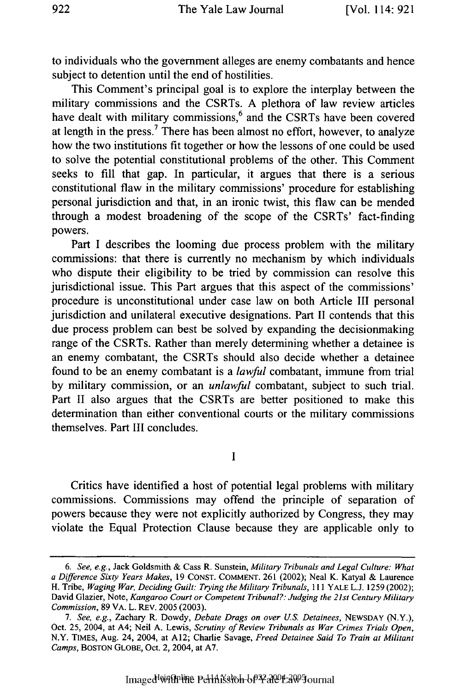to individuals who the government alleges are enemy combatants and hence subject to detention until the end of hostilities.

This Comment's principal goal is to explore the interplay between the military commissions and the CSRTs. A plethora of law review articles have dealt with military commissions,<sup>6</sup> and the CSRTs have been covered at length in the press.<sup>7</sup> There has been almost no effort, however, to analyze how the two institutions fit together or how the lessons of one could be used to solve the potential constitutional problems of the other. This Comment seeks to fill that gap. In particular, it argues that there is a serious constitutional flaw in the military commissions' procedure for establishing personal jurisdiction and that, in an ironic twist, this flaw can be mended through a modest broadening of the scope of the CSRTs' fact-finding powers.

Part I describes the looming due process problem with the military commissions: that there is currently no mechanism by which individuals who dispute their eligibility to be tried by commission can resolve this jurisdictional issue. This Part argues that this aspect of the commissions' procedure is unconstitutional under case law on both Article III personal jurisdiction and unilateral executive designations. Part II contends that this due process problem can best be solved by expanding the decisionmaking range of the CSRTs. Rather than merely determining whether a detainee is an enemy combatant, the CSRTs should also decide whether a detainee found to be an enemy combatant is a *lawful* combatant, immune from trial by military commission, or an *unlawful* combatant, subject to such trial. Part II also argues that the CSRTs are better positioned to make this determination than either conventional courts or the military commissions themselves. Part **III** concludes.

**I**

Critics have identified a host of potential legal problems with military commissions. Commissions may offend the principle of separation of powers because they were not explicitly authorized by Congress, they may violate the Equal Protection Clause because they are applicable only to

*<sup>6.</sup> See, e.g.,* Jack Goldsmith & Cass R. Sunstein, *Military Tribunals and Legal Culture: What a Difference Sixty Years Makes,* 19 CONST. COMMENT. 261 (2002); Neal K. Katyal & Laurence H. Tribe, *Waging War, Deciding Guilt: Trying the Military Tribunals, III* YALE L.J. 1259 (2002); David Glazier, Note, *Kangaroo Court or Competent Tribunal?: Judging the 21st Century Military Commission,* 89 VA. L. REV. 2005 (2003).

*<sup>7.</sup> See, e.g.,* Zachary R. Dowdy, *Debate Drags on over U.S. Detainees,* NEWSDAY (N.Y.), Oct. 25, 2004, at A4; Neil A. Lewis, *Scrutiny of Review Tribunals as War Crimes Trials Open,* N.Y. TIMES, Aug. 24, 2004, at **A12;** Charlie Savage, *Freed Detainee Said To Train at Militant Camps,* BOSTON GLOBE, Oct. 2, 2004, at A7.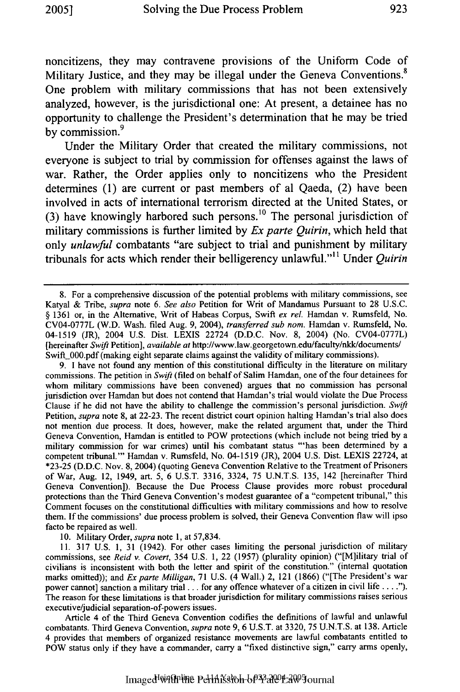noncitizens, they may contravene provisions of the Uniform Code of Military Justice, and they may be illegal under the Geneva Conventions.<sup>8</sup> One problem with military commissions that has not been extensively analyzed, however, is the jurisdictional one: At present, a detainee has no opportunity to challenge the President's determination that he may be tried by commission.<sup>9</sup>

Under the Military Order that created the military commissions, not everyone is subject to trial **by** commission for offenses against the laws of war. Rather, the Order applies only to noncitizens who the President determines **(1)** are current or past members of al Qaeda, (2) have been involved in acts of international terrorism directed at the United States, or **(3)** have knowingly harbored such persons.10 The personal jurisdiction of military commissions is further limited **by** *Ex parte Quirin,* which held that only *unlawful* combatants "are subject to trial and punishment **by** military tribunals for acts which render their belligerency unlawful."'" Under **Quirin**

9. I have not found any mention of this constitutional difficulty in the literature on military commissions. The petition in Swift (filed on behalf of Salim Hamdan, one of the four detainees for whom military commissions have been convened) argues that no commission has personal jurisdiction over Hamdan but does not contend that Hamdan's trial would violate the Due Process Clause if he did not have the ability to challenge the commission's personal jurisdiction. Swift Petition, *supra* note 8, at 22-23. The recent district court opinion halting Hamdan's trial also does not mention due process. It does, however, make the related argument that, under the Third Geneva Convention, Hamdan is entitled to POW protections (which include not being tried by a military commission for war crimes) until his combatant status "'has been determined by a competent tribunal."' Hamdan v. Rumsfeld, No. 04-1519 (JR), 2004 U.S. Dist. LEXIS 22724, at \*23-25 (D.D.C. Nov. 8, 2004) (quoting Geneva Convention Relative to the Treatment of Prisoners of War, Aug. 12, 1949, art. 5, 6 U.S.T. 3316, 3324, 75 U.N.T.S. 135, 142 [hereinafter Third Geneva Convention]). Because the Due Process Clause provides more robust procedural protections than the Third Geneva Convention's modest guarantee of a "competent tribunal," this Comment focuses on the constitutional difficulties with military commissions and how to resolve them. If the commissions' due process problem is solved, their Geneva Convention flaw will ipso facto be repaired as well.

10. Military Order, *supra* note 1, at 57,834.

11. 317 U.S. 1, 31 (1942). For other cases limiting the personal jurisdiction of military commissions, see *Reid v. Covert,* 354 U.S. 1, 22 (1957) (plurality opinion) ("[M]ilitary trial of civilians is inconsistent with both the letter and spirit of the constitution." (internal quotation marks omitted)); and *Exparte Milligan,* 71 U.S. (4 Wall.) 2, 121 (1866) ("[The President's war power cannot] sanction a military trial **...** for any offence whatever of a citizen in civil life **....").** The reason for these limitations is that broader jurisdiction for military commissions raises serious executive/judicial separation-of-powers issues.

Article 4 of the Third Geneva Convention codifies the definitions of lawful and unlawful combatants. Third Geneva Convention, *supra* note 9, 6 U.S.T. at 3320, 75 U.N.T.S. at 138. Article 4 provides that members of organized resistance movements are lawful combatants entitled to POW status only if they have a commander, carry a "fixed distinctive sign," carry arms openly,

<sup>8.</sup> For a comprehensive discussion of the potential problems with military commissions, see Katyal & Tribe, *supra* note 6. *See also* Petition for Writ of Mandamus Pursuant to 28 U.S.C. § 1361 or, in the Alternative, Writ of Habeas Corpus, Swift *ex rel.* Hamdan v. Rumsfeld, No. CV04-0777L (W.D. Wash. filed Aug. 9, 2004), *transferred sub nom.* Hamdan v. Rumsfeld, No. 04-1519 (JR), 2004 U.S. Dist. LEXIS 22724 (D.D.C. Nov. 8, 2004) (No. CV04-0777L) [hereinafter Swift Petition], *available at* http://www.law.georgetown.edu/faculty/nkk/documents/ Swift\_000.pdf (making eight separate claims against the validity of military commissions).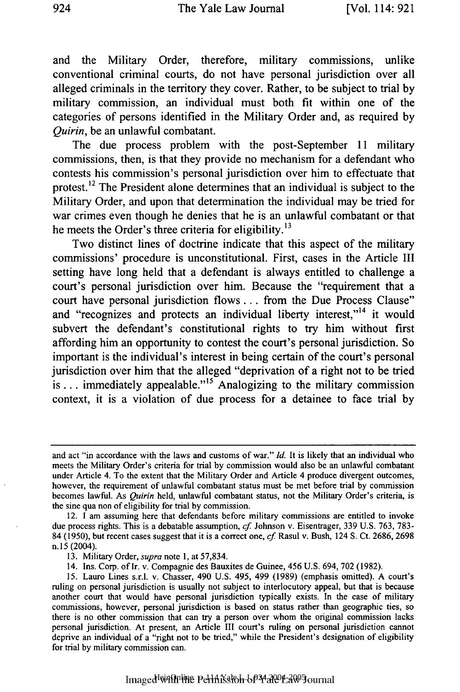and the Military Order, therefore, military commissions, unlike conventional criminal courts, do not have personal jurisdiction over all alleged criminals in the territory they cover. Rather, to be subject to trial by military commission, an individual must both fit within one of the categories of persons identified in the Military Order and, as required by *Quirin,* be an unlawful combatant.

The due process problem with the post-September 11 military commissions, then, is that they provide no mechanism for a defendant who contests his commission's personal jurisdiction over him to effectuate that protest.<sup>12</sup> The President alone determines that an individual is subject to the Military Order, and upon that determination the individual may be tried for war crimes even though he denies that he is an unlawful combatant or that he meets the Order's three criteria for eligibility.<sup>13</sup>

Two distinct lines of doctrine indicate that this aspect of the military commissions' procedure is unconstitutional. First, cases in the Article III setting have long held that a defendant is always entitled to challenge a court's personal jurisdiction over him. Because the "requirement that a court have personal jurisdiction flows.., from the Due Process Clause" and "recognizes and protects an individual liberty interest,"<sup>14</sup> it would subvert the defendant's constitutional rights to try him without first affording him an opportunity to contest the court's personal jurisdiction. So important is the individual's interest in being certain of the court's personal jurisdiction over him that the alleged "deprivation of a right not to be tried is... immediately appealable."<sup>15</sup> Analogizing to the military commission context, it is a violation of due process for a detainee to face trial by

and act "in accordance with the laws and customs of war." *Id.* It is likely that an individual who meets the Military Order's criteria for trial by commission would also be an unlawful combatant under Article 4. To the extent that the Military Order and Article 4 produce divergent outcomes, however, the requirement of unlawful combatant status must be met before trial by commission becomes lawful. As *Quirin* held, unlawful combatant status, not the Military Order's criteria, is the sine qua non of eligibility for trial by commission.

<sup>12.</sup> I am assuming here that defendants before military commissions are entitled to invoke due process rights. This is a debatable assumption, *cf* Johnson v. Eisentrager, 339 U.S. 763, 783- 84 (1950), but recent cases suggest that it is a correct one, *cf.* Rasul v. Bush, 124 S. Ct. 2686, 2698 n. 15 (2004).

<sup>13.</sup> Military Order, *supra* note 1, at 57,834.

<sup>14.</sup> Ins. Corp. of Ir. v. Compagnie des Bauxites de Guinee, 456 U.S. 694, 702 (1982).

<sup>15.</sup> Lauro Lines s.r.l. v. Chasser, 490 U.S. 495, 499 (1989) (emphasis omitted). A court's ruling on personal jurisdiction is usually not subject to interlocutory appeal, but that is because another court that would have personal jurisdiction typically exists. In the case of military commissions, however, personal jurisdiction is based on status rather than geographic ties, so there is no other commission that can try a person over whom the original commission lacks personal jurisdiction. At present, an Article **III** court's ruling on personal jurisdiction cannot deprive an individual of a "right not to be tried," while the President's designation of eligibility for trial **by** military commission can.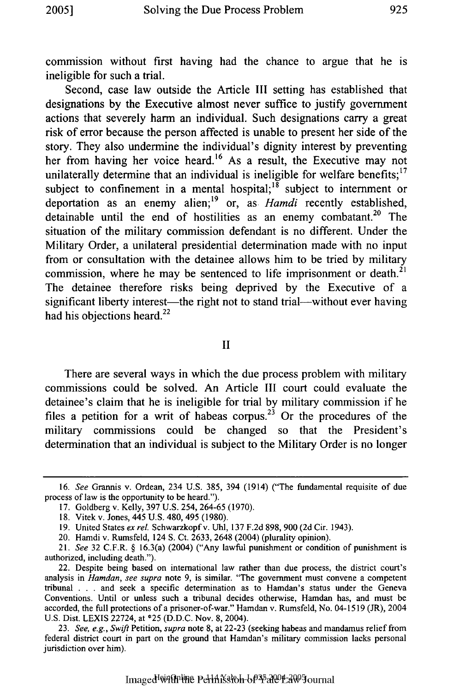commission without first having had the chance to argue that he is ineligible for such a trial.

Second, case law outside the Article III setting has established that designations by the Executive almost never suffice to justify government actions that severely harm an individual. Such designations carry a great risk of error because the person affected is unable to present her side of the story. They also undermine the individual's dignity interest by preventing her from having her voice heard.<sup>16</sup> As a result, the Executive may not unilaterally determine that an individual is ineligible for welfare benefits;<sup>17</sup> subject to confinement in a mental hospital;  $\frac{1}{8}$  subject to internment or deportation as an enemy alien; 19 or, as *Hamdi* recently established, detainable until the end of hostilities as an enemy combatant.<sup>20</sup> The situation of the military commission defendant is no different. Under the Military Order, a unilateral presidential determination made with no input from or consultation with the detainee allows him to be tried by military commission, where he may be sentenced to life imprisonment or death. $21$ The detainee therefore risks being deprived by the Executive of a significant liberty interest—the right not to stand trial—without ever having had his objections heard.<sup>22</sup>

II

There are several ways in which the due process problem with military commissions could be solved. An Article III court could evaluate the detainee's claim that he is ineligible for trial by military commission if he files a petition for a writ of habeas corpus.<sup>23</sup> Or the procedures of the military commissions could be changed so that the President's determination that an individual is subject to the Military Order is no longer

*<sup>16.</sup> See* Grannis v. Ordean, 234 U.S. 385, 394 (1914) ("The fundamental requisite of due process of law is the opportunity to be heard.").

<sup>17.</sup> Goldberg v. Kelly, 397 U.S. 254, 264-65 (1970).

<sup>18.</sup> Vitek v. Jones, 445 U.S. 480, 495 (1980).

<sup>19.</sup> United States *ex rel* Schwarzkopfv. **Uhl,** 137 F.2d 898, 900 (2d Cir. 1943).

<sup>20.</sup> Hamdi v. Rumsfeld, 124 S. Ct. 2633, 2648 (2004) (plurality opinion).

<sup>21.</sup> *See* 32 C.F.R. § 16.3(a) (2004) ("Any lawful punishment or condition of punishment is authorized, including death.").

<sup>22.</sup> Despite being based on international law rather than due process, the district court's analysis in *Hamdan, see supra* note 9, is similar. "The government must convene a competent tribunal . . . and seek a specific determination as to Hamdan's status under the Geneva Conventions. Until or unless such a tribunal decides otherwise, Hamdan has, and must be accorded, the full protections of a prisoner-of-war." Hamdan v. Rumsfeld, No. 04-1519 (JR), 2004 U.S. Dist. LEXIS 22724, at \*25 (D.D.C. Nov. 8, 2004).

<sup>23.</sup> *See, e.g., Swift* Petition, *supra* note 8, at 22-23 (seeking habeas and mandamus relief from federal district court in part on the ground that Hamdan's military commission lacks personal jurisdiction over him).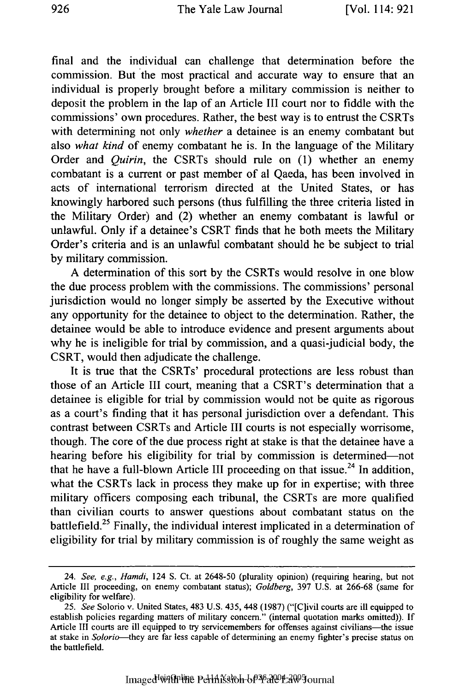final and the individual can challenge that determination before the commission. But the most practical and accurate way to ensure that an individual is properly brought before a military commission is neither to deposit the problem in the lap of an Article III court nor to fiddle with the commissions' own procedures. Rather, the best way is to entrust the CSRTs with determining not only *whether* a detainee is an enemy combatant but also *what kind* of enemy combatant he is. In the language of the Military Order and *Quirin,* the CSRTs should rule on (1) whether an enemy combatant is a current or past member of al Qaeda, has been involved in acts of international terrorism directed at the United States, or has knowingly harbored such persons (thus fulfilling the three criteria listed in the Military Order) and (2) whether an enemy combatant is lawful or unlawful. Only if a detainee's CSRT finds that he both meets the Military Order's criteria and is an unlawful combatant should he be subject to trial by military commission.

A determination of this sort by the CSRTs would resolve in one blow the due process problem with the commissions. The commissions' personal jurisdiction would no longer simply be asserted by the Executive without any opportunity for the detainee to object to the determination. Rather, the detainee would be able to introduce evidence and present arguments about why he is ineligible for trial by commission, and a quasi-judicial body, the CSRT, would then adjudicate the challenge.

It is true that the CSRTs' procedural protections are less robust than those of an Article III court, meaning that a CSRT's determination that a detainee is eligible for trial by commission would not be quite as rigorous as a court's finding that it has personal jurisdiction over a defendant. This contrast between CSRTs and Article III courts is not especially worrisome, though. The core of the due process right at stake is that the detainee have a hearing before his eligibility for trial by commission is determined-not that he have a full-blown Article III proceeding on that issue.<sup>24</sup> In addition, what the CSRTs lack in process they make up for in expertise; with three military officers composing each tribunal, the CSRTs are more qualified than civilian courts to answer questions about combatant status on the battlefield.<sup>25</sup> Finally, the individual interest implicated in a determination of eligibility for trial by military commission is of roughly the same weight as

<sup>24.</sup> *See, e.g., Hamdi,* 124 S. Ct. at 2648-50 (plurality opinion) (requiring hearing, but not Article III proceeding, on enemy combatant status); *Goldberg,* 397 U.S. at 266-68 (same for eligibility for welfare).

<sup>25.</sup> *See* Solorio v. United States, 483 U.S. 435, 448 (1987) ("[C]ivil courts are ill equipped to establish policies regarding matters of military concern." (internal quotation marks omitted)). If Article III courts are ill equipped to try servicemembers for offenses against civilians—the issue at stake in *Solorio-they* are far less capable of determining an enemy fighter's precise status on the battlefield.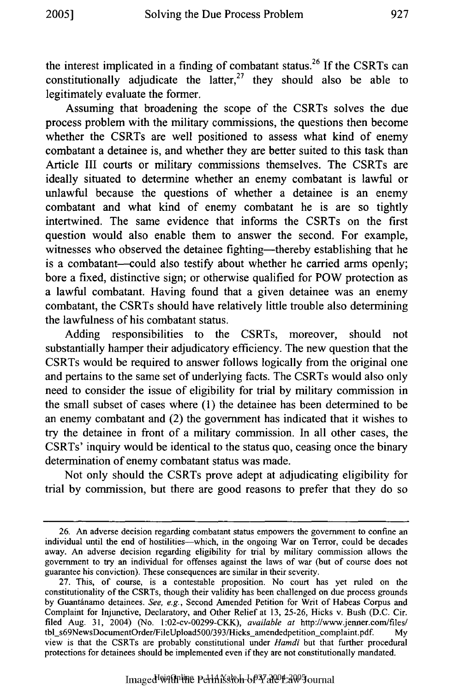the interest implicated in a finding of combatant status.<sup>26</sup> If the CSRTs can constitutionally adjudicate the latter,<sup>27</sup> they should also be able to legitimately evaluate the former.

Assuming that broadening the scope of the CSRTs solves the due process problem with the military commissions, the questions then become whether the CSRTs are well positioned to assess what kind of enemy combatant a detainee is, and whether they are better suited to this task than Article III courts or military commissions themselves. The CSRTs are ideally situated to determine whether an enemy combatant is lawful or unlawful because the questions of whether a detainee is an enemy combatant and what kind of enemy combatant he is are so tightly intertwined. The same evidence that informs the CSRTs on the first question would also enable them to answer the second. For example, witnesses who observed the detainee fighting—thereby establishing that he is a combatant—could also testify about whether he carried arms openly; bore a fixed, distinctive sign; or otherwise qualified for POW protection as a lawful combatant. Having found that a given detainee was an enemy combatant, the CSRTs should have relatively little trouble also determining the lawfulness of his combatant status.

Adding responsibilities to the CSRTs, moreover, should not substantially hamper their adjudicatory efficiency. The new question that the CSRTs would be required to answer follows logically from the original one and pertains to the same set of underlying facts. The CSRTs would also only need to consider the issue of eligibility for trial by military commission in the small subset of cases where (1) the detainee has been determined to be an enemy combatant and (2) the government has indicated that it wishes to try the detainee in front of a military commission. In all other cases, the CSRTs' inquiry would be identical to the status quo, ceasing once the binary determination of enemy combatant status was made.

Not only should the CSRTs prove adept at adjudicating eligibility for trial by commission, but there are good reasons to prefer that they do so

<sup>26.</sup> An adverse decision regarding combatant status empowers the government to confine an individual until the end of hostilities-which, in the ongoing War on Terror, could be decades away. An adverse decision regarding eligibility for trial by military commission allows the government to try an individual for offenses against the laws of war (but of course does not guarantee his conviction). These consequences are similar in their severity.

<sup>27.</sup> This, of course, is a contestable proposition. No court has yet ruled on the constitutionality of the CSRTs, though their validity has been challenged on due process grounds by Guantdnamo detainees. *See, e.g.,* Second Amended Petition for Writ of Habeas Corpus and Complaint for Injunctive, Declaratory, and Other Relief at 13, 25-26, Hicks v. Bush (D.C. Cir. filed Aug. 31, 2004) (No. 1:02-cv-00299-CKK), *available at* http://www.jenner.com/files/ tbl\_s69NewsDocumentOrder/FileUpload500/393/Hicks\_amendedpetition\_complaint.pdf. view is that the CSRTs are probably constitutional under *Hamdi* but that further procedural protections for detainees should be implemented even if they are not constitutionally mandated.